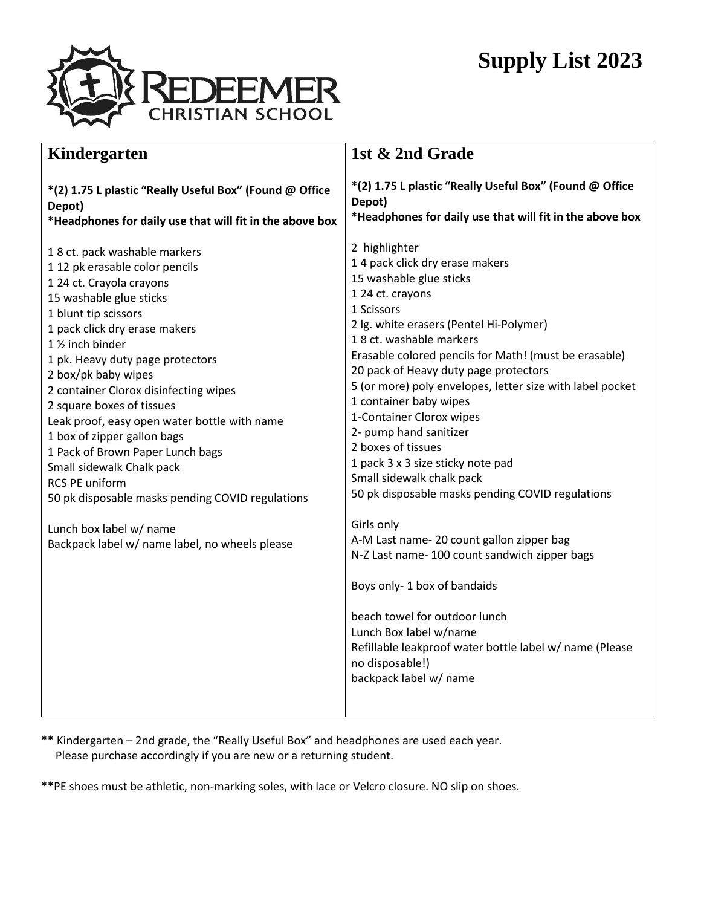## **Supply List 2023**



| Kindergarten                                                                                                                                                                                                                                                                                                                                                                                                                                                                                                                                                                                                                                               | 1st & 2nd Grade                                                                                                                                                                                                                                                                                                                                                                                                                                                                                                                                                                                                                                                                                                                                                                                                                                                                             |  |
|------------------------------------------------------------------------------------------------------------------------------------------------------------------------------------------------------------------------------------------------------------------------------------------------------------------------------------------------------------------------------------------------------------------------------------------------------------------------------------------------------------------------------------------------------------------------------------------------------------------------------------------------------------|---------------------------------------------------------------------------------------------------------------------------------------------------------------------------------------------------------------------------------------------------------------------------------------------------------------------------------------------------------------------------------------------------------------------------------------------------------------------------------------------------------------------------------------------------------------------------------------------------------------------------------------------------------------------------------------------------------------------------------------------------------------------------------------------------------------------------------------------------------------------------------------------|--|
| *(2) 1.75 L plastic "Really Useful Box" (Found @ Office<br>Depot)<br>*Headphones for daily use that will fit in the above box                                                                                                                                                                                                                                                                                                                                                                                                                                                                                                                              | *(2) 1.75 L plastic "Really Useful Box" (Found @ Office<br>Depot)<br>*Headphones for daily use that will fit in the above box                                                                                                                                                                                                                                                                                                                                                                                                                                                                                                                                                                                                                                                                                                                                                               |  |
| 18 ct. pack washable markers<br>1 12 pk erasable color pencils<br>1 24 ct. Crayola crayons<br>15 washable glue sticks<br>1 blunt tip scissors<br>1 pack click dry erase makers<br>1 1/ <sub>2</sub> inch binder<br>1 pk. Heavy duty page protectors<br>2 box/pk baby wipes<br>2 container Clorox disinfecting wipes<br>2 square boxes of tissues<br>Leak proof, easy open water bottle with name<br>1 box of zipper gallon bags<br>1 Pack of Brown Paper Lunch bags<br>Small sidewalk Chalk pack<br><b>RCS PE uniform</b><br>50 pk disposable masks pending COVID regulations<br>Lunch box label w/ name<br>Backpack label w/ name label, no wheels please | 2 highlighter<br>14 pack click dry erase makers<br>15 washable glue sticks<br>1 24 ct. crayons<br>1 Scissors<br>2 lg. white erasers (Pentel Hi-Polymer)<br>18 ct. washable markers<br>Erasable colored pencils for Math! (must be erasable)<br>20 pack of Heavy duty page protectors<br>5 (or more) poly envelopes, letter size with label pocket<br>1 container baby wipes<br>1-Container Clorox wipes<br>2- pump hand sanitizer<br>2 boxes of tissues<br>1 pack 3 x 3 size sticky note pad<br>Small sidewalk chalk pack<br>50 pk disposable masks pending COVID regulations<br>Girls only<br>A-M Last name- 20 count gallon zipper bag<br>N-Z Last name- 100 count sandwich zipper bags<br>Boys only-1 box of bandaids<br>beach towel for outdoor lunch<br>Lunch Box label w/name<br>Refillable leakproof water bottle label w/ name (Please<br>no disposable!)<br>backpack label w/ name |  |

- \*\* Kindergarten 2nd grade, the "Really Useful Box" and headphones are used each year. Please purchase accordingly if you are new or a returning student.
- \*\*PE shoes must be athletic, non-marking soles, with lace or Velcro closure. NO slip on shoes.